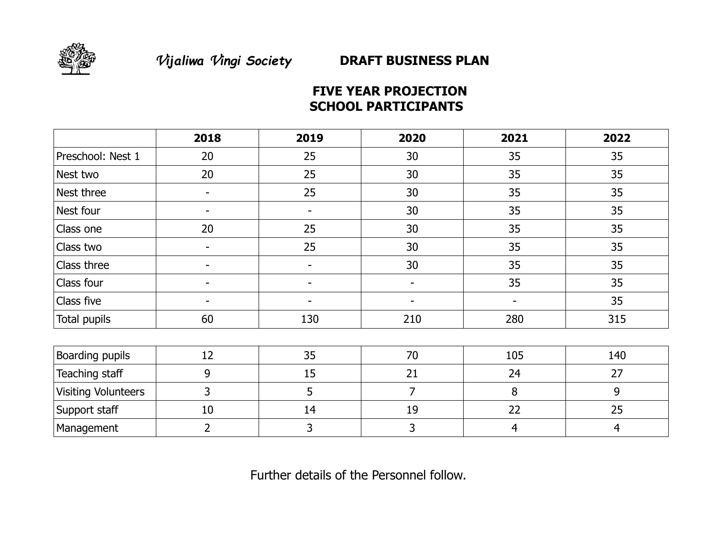

# **FIVE YEAR PROJECTION SCHOOL PARTICIPANTS**

|                            | 2018                     | 2019                     | 2020                     | 2021 | 2022           |
|----------------------------|--------------------------|--------------------------|--------------------------|------|----------------|
| Preschool: Nest 1          | 20                       | 25                       | 30                       | 35   | 35             |
| Nest two                   | 20                       | 25                       | 30                       | 35   | 35             |
| Nest three                 | $\overline{\phantom{0}}$ | 25                       | 30                       | 35   | 35             |
| Nest four                  | $\overline{\phantom{a}}$ | $\overline{\phantom{a}}$ | 30                       | 35   | 35             |
| Class one                  | 20                       | 25                       | 30                       | 35   | 35             |
| Class two                  | $\overline{\phantom{a}}$ | 25                       | 30                       | 35   | 35             |
| Class three                |                          | $\overline{\phantom{a}}$ | 30                       | 35   | 35             |
| Class four                 |                          |                          | $\overline{\phantom{a}}$ | 35   | 35             |
| Class five                 | ٠                        |                          | -                        | -    | 35             |
| Total pupils               | 60                       | 130                      | 210                      | 280  | 315            |
|                            |                          |                          |                          |      |                |
| Boarding pupils            | 12                       | 35                       | 70                       | 105  | 140            |
| Teaching staff             | 9                        | 15                       | 21                       | 24   | 27             |
| <b>Visiting Volunteers</b> | 3                        | 5                        | $\overline{7}$           | 8    | 9              |
| Support staff              | 10                       | 14                       | 19                       | 22   | 25             |
| Management                 | $\overline{2}$           | 3                        | 3                        | 4    | $\overline{4}$ |

Further details of the Personnel follow.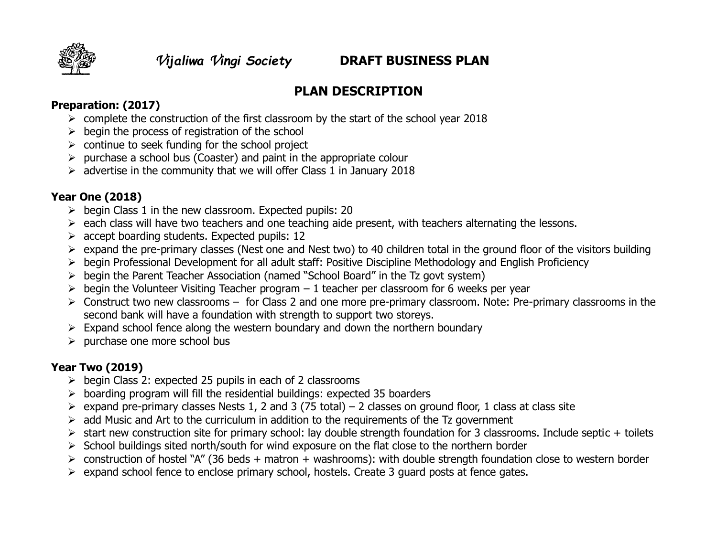

# **PLAN DESCRIPTION**

#### **Preparation: (2017)**

- $\triangleright$  complete the construction of the first classroom by the start of the school year 2018
- $\triangleright$  begin the process of registration of the school
- $\triangleright$  continue to seek funding for the school project
- $\triangleright$  purchase a school bus (Coaster) and paint in the appropriate colour
- $\geq$  advertise in the community that we will offer Class 1 in January 2018

#### **Year One (2018)**

- $\triangleright$  begin Class 1 in the new classroom. Expected pupils: 20
- $\triangleright$  each class will have two teachers and one teaching aide present, with teachers alternating the lessons.
- $\triangleright$  accept boarding students. Expected pupils: 12
- $\triangleright$  expand the pre-primary classes (Nest one and Nest two) to 40 children total in the ground floor of the visitors building
- begin Professional Development for all adult staff: Positive Discipline Methodology and English Proficiency
- $\triangleright$  begin the Parent Teacher Association (named "School Board" in the Tz govt system)
- $\triangleright$  begin the Volunteer Visiting Teacher program 1 teacher per classroom for 6 weeks per year
- Construct two new classrooms for Class 2 and one more pre-primary classroom. Note: Pre-primary classrooms in the second bank will have a foundation with strength to support two storeys.
- $\triangleright$  Expand school fence along the western boundary and down the northern boundary
- $\triangleright$  purchase one more school bus

# **Year Two (2019)**

- $\triangleright$  begin Class 2: expected 25 pupils in each of 2 classrooms
- $\triangleright$  boarding program will fill the residential buildings: expected 35 boarders
- $\triangleright$  expand pre-primary classes Nests 1, 2 and 3 (75 total) 2 classes on ground floor, 1 class at class site
- $\triangleright$  add Music and Art to the curriculum in addition to the requirements of the Tz government
- $\triangleright$  start new construction site for primary school: lay double strength foundation for 3 classrooms. Include septic + toilets
- $\triangleright$  School buildings sited north/south for wind exposure on the flat close to the northern border
- $\triangleright$  construction of hostel "A" (36 beds + matron + washrooms): with double strength foundation close to western border
- $\triangleright$  expand school fence to enclose primary school, hostels. Create 3 guard posts at fence gates.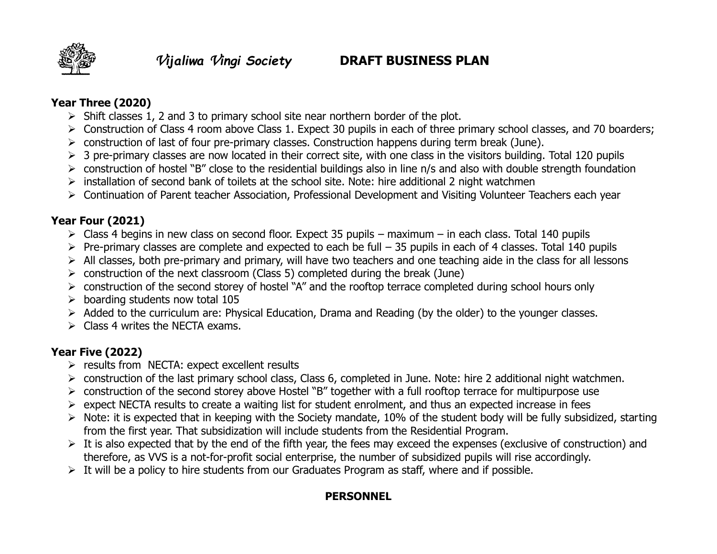

#### **Year Three (2020)**

- $\triangleright$  Shift classes 1, 2 and 3 to primary school site near northern border of the plot.
- Construction of Class 4 room above Class 1. Expect 30 pupils in each of three primary school classes, and 70 boarders;
- $\triangleright$  construction of last of four pre-primary classes. Construction happens during term break (June).
- $\geq 3$  pre-primary classes are now located in their correct site, with one class in the visitors building. Total 120 pupils
- $\triangleright$  construction of hostel "B" close to the residential buildings also in line n/s and also with double strength foundation
- $\triangleright$  installation of second bank of toilets at the school site. Note: hire additional 2 night watchmen
- Continuation of Parent teacher Association, Professional Development and Visiting Volunteer Teachers each year

# **Year Four (2021)**

- $\triangleright$  Class 4 begins in new class on second floor. Expect 35 pupils maximum in each class. Total 140 pupils
- $\triangleright$  Pre-primary classes are complete and expected to each be full 35 pupils in each of 4 classes. Total 140 pupils
- $\triangleright$  All classes, both pre-primary and primary, will have two teachers and one teaching aide in the class for all lessons
- $\ge$  construction of the next classroom (Class 5) completed during the break (June)
- $\triangleright$  construction of the second storey of hostel "A" and the rooftop terrace completed during school hours only
- $\triangleright$  boarding students now total 105
- $\triangleright$  Added to the curriculum are: Physical Education, Drama and Reading (by the older) to the younger classes.
- $\triangleright$  Class 4 writes the NECTA exams.

# **Year Five (2022)**

- $\triangleright$  results from NECTA: expect excellent results
- construction of the last primary school class, Class 6, completed in June. Note: hire 2 additional night watchmen.
- $\triangleright$  construction of the second storey above Hostel "B" together with a full rooftop terrace for multipurpose use
- $\triangleright$  expect NECTA results to create a waiting list for student enrolment, and thus an expected increase in fees
- $\triangleright$  Note: it is expected that in keeping with the Society mandate, 10% of the student body will be fully subsidized, starting from the first year. That subsidization will include students from the Residential Program.
- $\triangleright$  It is also expected that by the end of the fifth year, the fees may exceed the expenses (exclusive of construction) and therefore, as VVS is a not-for-profit social enterprise, the number of subsidized pupils will rise accordingly.
- $\triangleright$  It will be a policy to hire students from our Graduates Program as staff, where and if possible.

# **PERSONNEL**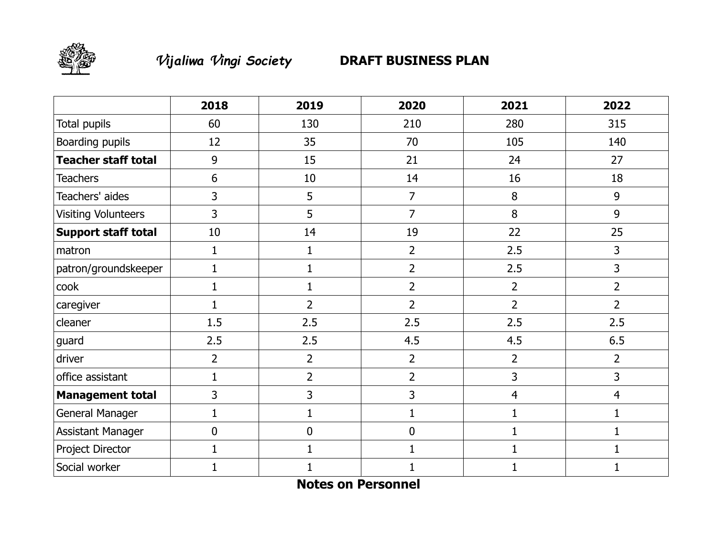

# *Vijaliwa Vingi Society* **DRAFT BUSINESS PLAN**

|                            | 2018           | 2019           | 2020             | 2021           | 2022           |
|----------------------------|----------------|----------------|------------------|----------------|----------------|
| Total pupils               | 60             | 130            | 210              | 280            | 315            |
| Boarding pupils            | 12             | 35             | 70               | 105            | 140            |
| <b>Teacher staff total</b> | 9              | 15             | 21               | 24             | 27             |
| <b>Teachers</b>            | 6              | 10             | 14               | 16             | 18             |
| Teachers' aides            | 3              | 5              | $\overline{7}$   | 8              | 9              |
| <b>Visiting Volunteers</b> | $\overline{3}$ | 5              | $\overline{7}$   | 8              | 9              |
| <b>Support staff total</b> | 10             | 14             | 19               | 22             | 25             |
| matron                     | $\mathbf{1}$   | $\mathbf 1$    | $\overline{2}$   | 2.5            | 3              |
| patron/groundskeeper       | $\mathbf{1}$   | 1              | $\overline{2}$   | 2.5            | 3              |
| cook                       | $\mathbf{1}$   | 1              | $\overline{2}$   | $\overline{2}$ | $\overline{2}$ |
| caregiver                  | $\mathbf{1}$   | $\overline{2}$ | $\overline{2}$   | $\overline{2}$ | $\overline{2}$ |
| cleaner                    | 1.5            | 2.5            | 2.5              | 2.5            | 2.5            |
| guard                      | 2.5            | 2.5            | 4.5              | 4.5            | 6.5            |
| driver                     | $\overline{2}$ | $\overline{2}$ | $\overline{2}$   | $\overline{2}$ | $\overline{2}$ |
| office assistant           | 1              | $\overline{2}$ | $\overline{2}$   | 3              | 3              |
| <b>Management total</b>    | $\overline{3}$ | 3              | 3                | $\overline{4}$ | $\overline{4}$ |
| General Manager            | $\mathbf{1}$   | $\mathbf 1$    | $\mathbf{1}$     | $\mathbf{1}$   | $\mathbf{1}$   |
| <b>Assistant Manager</b>   | $\mathbf 0$    | $\mathbf 0$    | $\boldsymbol{0}$ | $\mathbf{1}$   | 1              |
| Project Director           | 1              |                | 1                | $\mathbf 1$    | 1              |
| Social worker              |                |                |                  | 1              |                |

**Notes on Personnel**